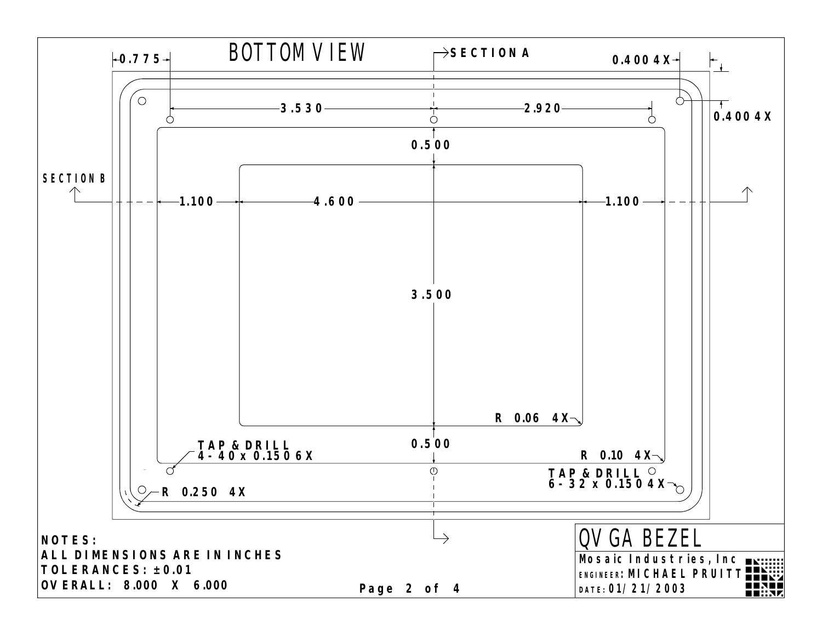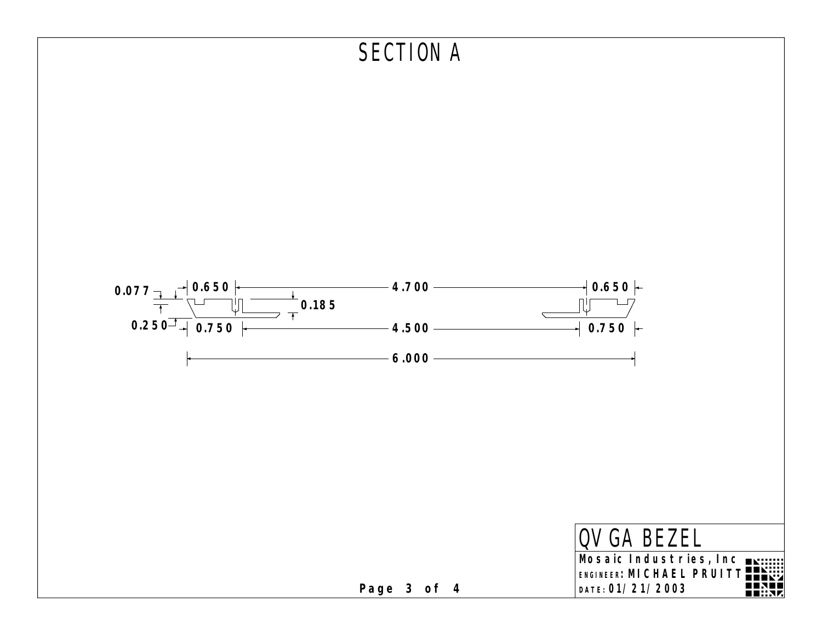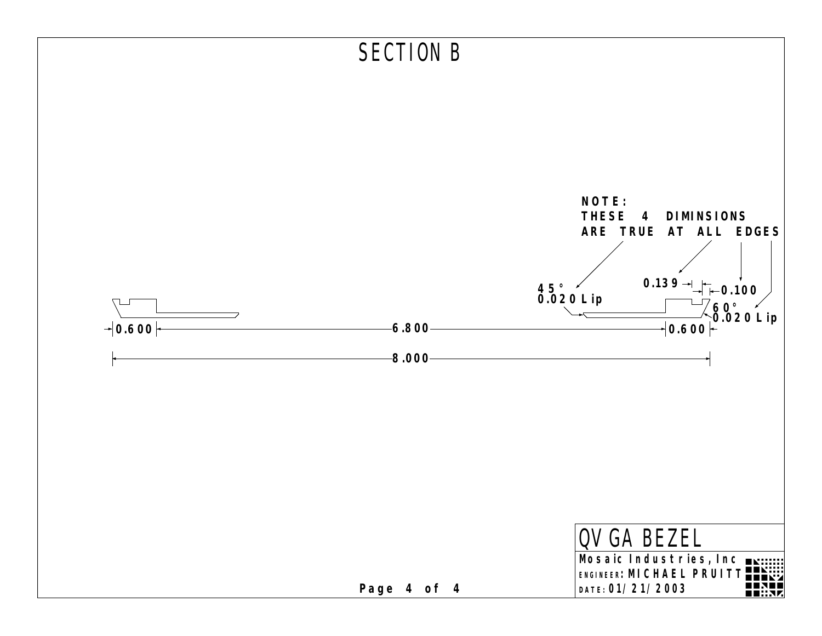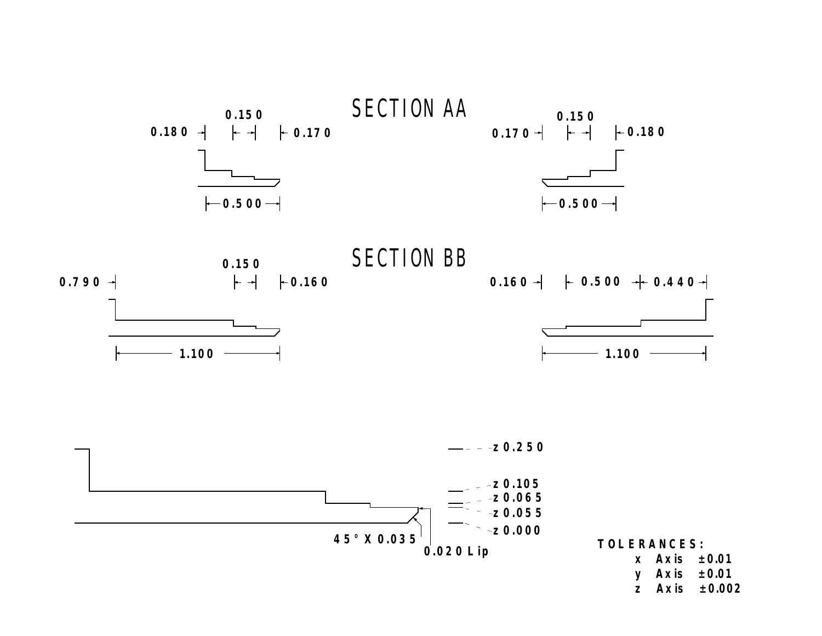